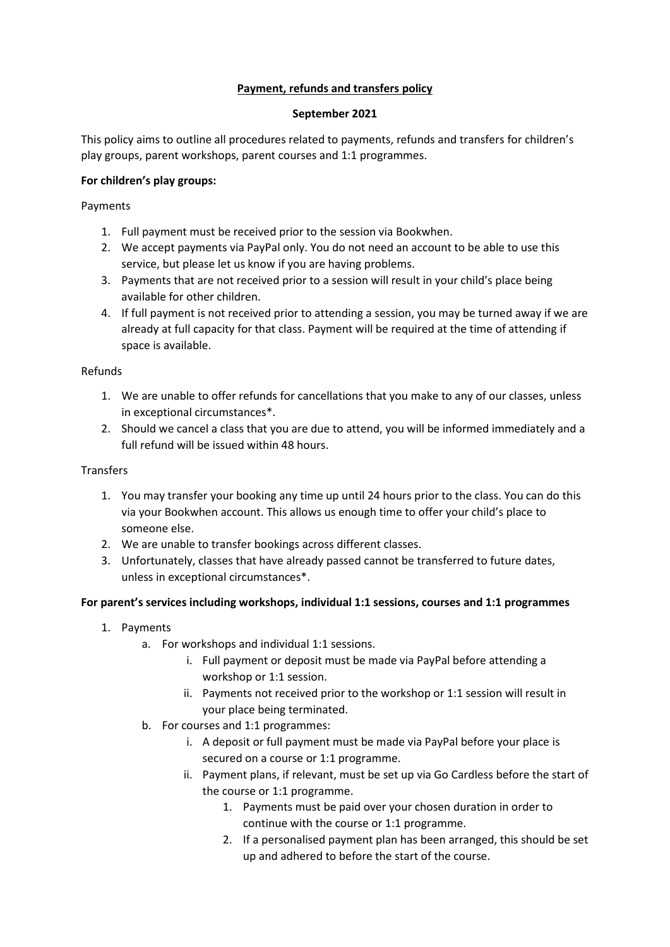# **Payment, refunds and transfers policy**

## **September 2021**

This policy aims to outline all procedures related to payments, refunds and transfers for children's play groups, parent workshops, parent courses and 1:1 programmes.

## **For children's play groups:**

Payments

- 1. Full payment must be received prior to the session via Bookwhen.
- 2. We accept payments via PayPal only. You do not need an account to be able to use this service, but please let us know if you are having problems.
- 3. Payments that are not received prior to a session will result in your child's place being available for other children.
- 4. If full payment is not received prior to attending a session, you may be turned away if we are already at full capacity for that class. Payment will be required at the time of attending if space is available.

## Refunds

- 1. We are unable to offer refunds for cancellations that you make to any of our classes, unless in exceptional circumstances\*.
- 2. Should we cancel a class that you are due to attend, you will be informed immediately and a full refund will be issued within 48 hours.

#### **Transfers**

- 1. You may transfer your booking any time up until 24 hours prior to the class. You can do this via your Bookwhen account. This allows us enough time to offer your child's place to someone else.
- 2. We are unable to transfer bookings across different classes.
- 3. Unfortunately, classes that have already passed cannot be transferred to future dates, unless in exceptional circumstances\*.

## **For parent's services including workshops, individual 1:1 sessions, courses and 1:1 programmes**

- 1. Payments
	- a. For workshops and individual 1:1 sessions.
		- i. Full payment or deposit must be made via PayPal before attending a workshop or 1:1 session.
		- ii. Payments not received prior to the workshop or 1:1 session will result in your place being terminated.
	- b. For courses and 1:1 programmes:
		- i. A deposit or full payment must be made via PayPal before your place is secured on a course or 1:1 programme.
		- ii. Payment plans, if relevant, must be set up via Go Cardless before the start of the course or 1:1 programme.
			- 1. Payments must be paid over your chosen duration in order to continue with the course or 1:1 programme.
			- 2. If a personalised payment plan has been arranged, this should be set up and adhered to before the start of the course.